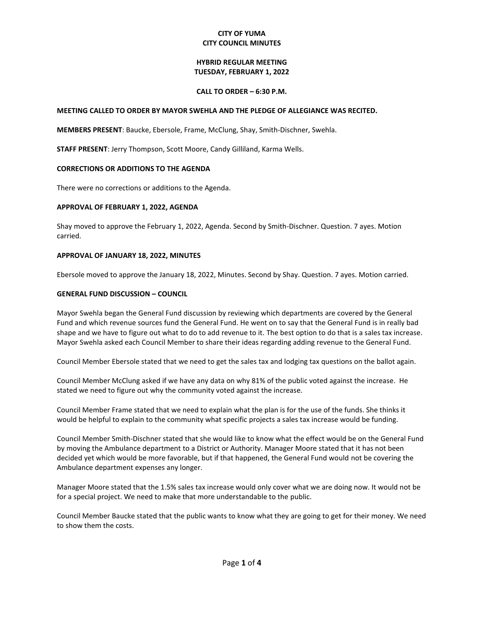### **CITY OF YUMA CITY COUNCIL MINUTES**

### **HYBRID REGULAR MEETING TUESDAY, FEBRUARY 1, 2022**

### **CALL TO ORDER – 6:30 P.M.**

#### **MEETING CALLED TO ORDER BY MAYOR SWEHLA AND THE PLEDGE OF ALLEGIANCE WAS RECITED.**

**MEMBERS PRESENT**: Baucke, Ebersole, Frame, McClung, Shay, Smith-Dischner, Swehla.

**STAFF PRESENT**: Jerry Thompson, Scott Moore, Candy Gilliland, Karma Wells.

### **CORRECTIONS OR ADDITIONS TO THE AGENDA**

There were no corrections or additions to the Agenda.

#### **APPROVAL OF FEBRUARY 1, 2022, AGENDA**

Shay moved to approve the February 1, 2022, Agenda. Second by Smith-Dischner. Question. 7 ayes. Motion carried.

#### **APPROVAL OF JANUARY 18, 2022, MINUTES**

Ebersole moved to approve the January 18, 2022, Minutes. Second by Shay. Question. 7 ayes. Motion carried.

#### **GENERAL FUND DISCUSSION – COUNCIL**

Mayor Swehla began the General Fund discussion by reviewing which departments are covered by the General Fund and which revenue sources fund the General Fund. He went on to say that the General Fund is in really bad shape and we have to figure out what to do to add revenue to it. The best option to do that is a sales tax increase. Mayor Swehla asked each Council Member to share their ideas regarding adding revenue to the General Fund.

Council Member Ebersole stated that we need to get the sales tax and lodging tax questions on the ballot again.

Council Member McClung asked if we have any data on why 81% of the public voted against the increase. He stated we need to figure out why the community voted against the increase.

Council Member Frame stated that we need to explain what the plan is for the use of the funds. She thinks it would be helpful to explain to the community what specific projects a sales tax increase would be funding.

Council Member Smith-Dischner stated that she would like to know what the effect would be on the General Fund by moving the Ambulance department to a District or Authority. Manager Moore stated that it has not been decided yet which would be more favorable, but if that happened, the General Fund would not be covering the Ambulance department expenses any longer.

Manager Moore stated that the 1.5% sales tax increase would only cover what we are doing now. It would not be for a special project. We need to make that more understandable to the public.

Council Member Baucke stated that the public wants to know what they are going to get for their money. We need to show them the costs.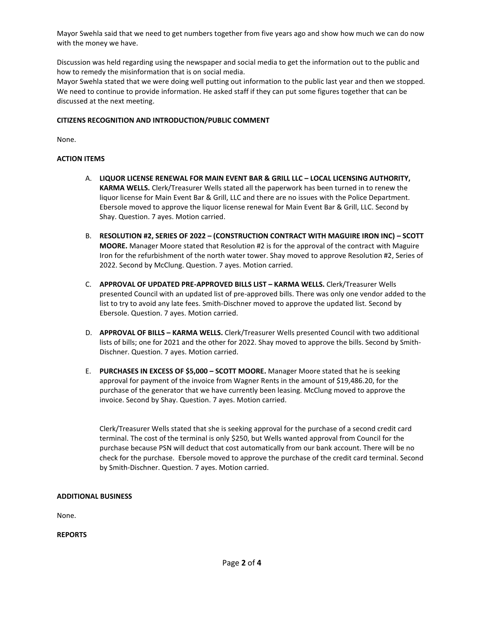Mayor Swehla said that we need to get numbers together from five years ago and show how much we can do now with the money we have.

Discussion was held regarding using the newspaper and social media to get the information out to the public and how to remedy the misinformation that is on social media.

Mayor Swehla stated that we were doing well putting out information to the public last year and then we stopped. We need to continue to provide information. He asked staff if they can put some figures together that can be discussed at the next meeting.

### **CITIZENS RECOGNITION AND INTRODUCTION/PUBLIC COMMENT**

None.

## **ACTION ITEMS**

- A. **LIQUOR LICENSE RENEWAL FOR MAIN EVENT BAR & GRILL LLC – LOCAL LICENSING AUTHORITY, KARMA WELLS.** Clerk/Treasurer Wells stated all the paperwork has been turned in to renew the liquor license for Main Event Bar & Grill, LLC and there are no issues with the Police Department. Ebersole moved to approve the liquor license renewal for Main Event Bar & Grill, LLC. Second by Shay. Question. 7 ayes. Motion carried.
- B. **RESOLUTION #2, SERIES OF 2022 – (CONSTRUCTION CONTRACT WITH MAGUIRE IRON INC) – SCOTT MOORE.** Manager Moore stated that Resolution #2 is for the approval of the contract with Maguire Iron for the refurbishment of the north water tower. Shay moved to approve Resolution #2, Series of 2022. Second by McClung. Question. 7 ayes. Motion carried.
- C. **APPROVAL OF UPDATED PRE-APPROVED BILLS LIST – KARMA WELLS.** Clerk/Treasurer Wells presented Council with an updated list of pre-approved bills. There was only one vendor added to the list to try to avoid any late fees. Smith-Dischner moved to approve the updated list. Second by Ebersole. Question. 7 ayes. Motion carried.
- D. **APPROVAL OF BILLS – KARMA WELLS.** Clerk/Treasurer Wells presented Council with two additional lists of bills; one for 2021 and the other for 2022. Shay moved to approve the bills. Second by Smith-Dischner. Question. 7 ayes. Motion carried.
- E. **PURCHASES IN EXCESS OF \$5,000 – SCOTT MOORE.** Manager Moore stated that he is seeking approval for payment of the invoice from Wagner Rents in the amount of \$19,486.20, for the purchase of the generator that we have currently been leasing. McClung moved to approve the invoice. Second by Shay. Question. 7 ayes. Motion carried.

Clerk/Treasurer Wells stated that she is seeking approval for the purchase of a second credit card terminal. The cost of the terminal is only \$250, but Wells wanted approval from Council for the purchase because PSN will deduct that cost automatically from our bank account. There will be no check for the purchase. Ebersole moved to approve the purchase of the credit card terminal. Second by Smith-Dischner. Question. 7 ayes. Motion carried.

### **ADDITIONAL BUSINESS**

None.

**REPORTS**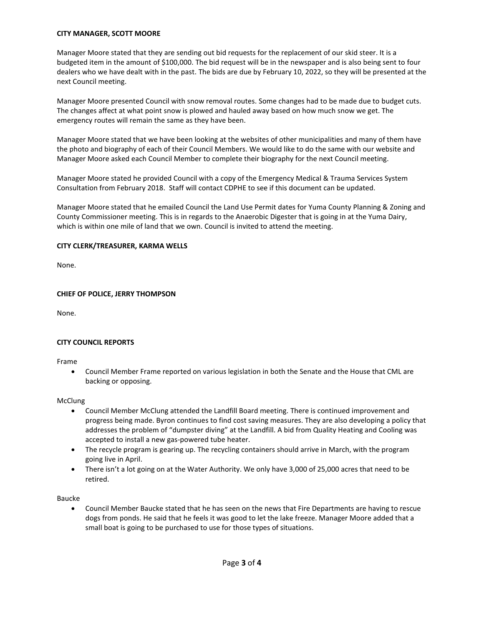### **CITY MANAGER, SCOTT MOORE**

Manager Moore stated that they are sending out bid requests for the replacement of our skid steer. It is a budgeted item in the amount of \$100,000. The bid request will be in the newspaper and is also being sent to four dealers who we have dealt with in the past. The bids are due by February 10, 2022, so they will be presented at the next Council meeting.

Manager Moore presented Council with snow removal routes. Some changes had to be made due to budget cuts. The changes affect at what point snow is plowed and hauled away based on how much snow we get. The emergency routes will remain the same as they have been.

Manager Moore stated that we have been looking at the websites of other municipalities and many of them have the photo and biography of each of their Council Members. We would like to do the same with our website and Manager Moore asked each Council Member to complete their biography for the next Council meeting.

Manager Moore stated he provided Council with a copy of the Emergency Medical & Trauma Services System Consultation from February 2018. Staff will contact CDPHE to see if this document can be updated.

Manager Moore stated that he emailed Council the Land Use Permit dates for Yuma County Planning & Zoning and County Commissioner meeting. This is in regards to the Anaerobic Digester that is going in at the Yuma Dairy, which is within one mile of land that we own. Council is invited to attend the meeting.

### **CITY CLERK/TREASURER, KARMA WELLS**

None.

## **CHIEF OF POLICE, JERRY THOMPSON**

None.

# **CITY COUNCIL REPORTS**

Frame

• Council Member Frame reported on various legislation in both the Senate and the House that CML are backing or opposing.

### McClung

- Council Member McClung attended the Landfill Board meeting. There is continued improvement and progress being made. Byron continues to find cost saving measures. They are also developing a policy that addresses the problem of "dumpster diving" at the Landfill. A bid from Quality Heating and Cooling was accepted to install a new gas-powered tube heater.
- The recycle program is gearing up. The recycling containers should arrive in March, with the program going live in April.
- There isn't a lot going on at the Water Authority. We only have 3,000 of 25,000 acres that need to be retired.

Baucke

• Council Member Baucke stated that he has seen on the news that Fire Departments are having to rescue dogs from ponds. He said that he feels it was good to let the lake freeze. Manager Moore added that a small boat is going to be purchased to use for those types of situations.